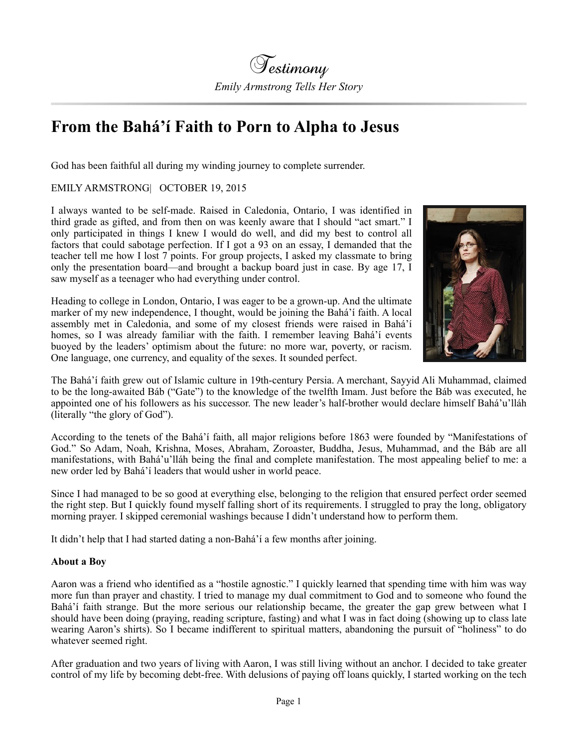## **From the Bahá'í Faith to Porn to Alpha to Jesus**

God has been faithful all during my winding journey to complete surrender.

EMILY ARMSTRONG| OCTOBER 19, 2015

I always wanted to be self-made. Raised in Caledonia, Ontario, I was identified in third grade as gifted, and from then on was keenly aware that I should "act smart." I only participated in things I knew I would do well, and did my best to control all factors that could sabotage perfection. If I got a 93 on an essay, I demanded that the teacher tell me how I lost 7 points. For group projects, I asked my classmate to bring only the presentation board—and brought a backup board just in case. By age 17, I saw myself as a teenager who had everything under control.

Heading to college in London, Ontario, I was eager to be a grown-up. And the ultimate marker of my new independence, I thought, would be joining the Bahá'í faith. A local assembly met in Caledonia, and some of my closest friends were raised in Bahá'í homes, so I was already familiar with the faith. I remember leaving Bahá'í events buoyed by the leaders' optimism about the future: no more war, poverty, or racism. One language, one currency, and equality of the sexes. It sounded perfect.



The Bahá'í faith grew out of Islamic culture in 19th-century Persia. A merchant, Sayyid Ali Muhammad, claimed to be the long-awaited Báb ("Gate") to the knowledge of the twelfth Imam. Just before the Báb was executed, he appointed one of his followers as his successor. The new leader's half-brother would declare himself Bahá'u'lláh (literally "the glory of God").

According to the tenets of the Bahá'í faith, all major religions before 1863 were founded by "Manifestations of God." So Adam, Noah, Krishna, Moses, Abraham, Zoroaster, Buddha, Jesus, Muhammad, and the Báb are all manifestations, with Bahá'u'lláh being the final and complete manifestation. The most appealing belief to me: a new order led by Bahá'í leaders that would usher in world peace.

Since I had managed to be so good at everything else, belonging to the religion that ensured perfect order seemed the right step. But I quickly found myself falling short of its requirements. I struggled to pray the long, obligatory morning prayer. I skipped ceremonial washings because I didn't understand how to perform them.

It didn't help that I had started dating a non-Bahá'í a few months after joining.

## **About a Boy**

Aaron was a friend who identified as a "hostile agnostic." I quickly learned that spending time with him was way more fun than prayer and chastity. I tried to manage my dual commitment to God and to someone who found the Bahá'í faith strange. But the more serious our relationship became, the greater the gap grew between what I should have been doing (praying, reading scripture, fasting) and what I was in fact doing (showing up to class late wearing Aaron's shirts). So I became indifferent to spiritual matters, abandoning the pursuit of "holiness" to do whatever seemed right.

After graduation and two years of living with Aaron, I was still living without an anchor. I decided to take greater control of my life by becoming debt-free. With delusions of paying off loans quickly, I started working on the tech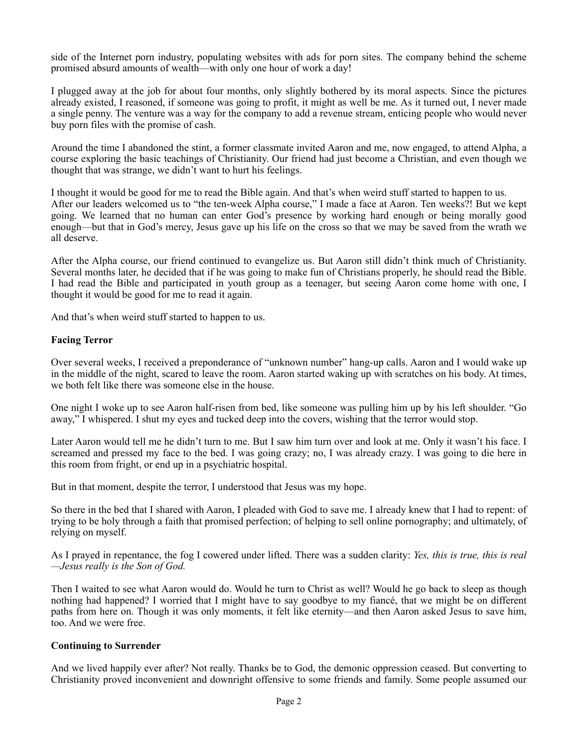side of the Internet porn industry, populating websites with ads for porn sites. The company behind the scheme promised absurd amounts of wealth—with only one hour of work a day!

I plugged away at the job for about four months, only slightly bothered by its moral aspects. Since the pictures already existed, I reasoned, if someone was going to profit, it might as well be me. As it turned out, I never made a single penny. The venture was a way for the company to add a revenue stream, enticing people who would never buy porn files with the promise of cash.

Around the time I abandoned the stint, a former classmate invited Aaron and me, now engaged, to attend Alpha, a course exploring the basic teachings of Christianity. Our friend had just become a Christian, and even though we thought that was strange, we didn't want to hurt his feelings.

I thought it would be good for me to read the Bible again. And that's when weird stuff started to happen to us. After our leaders welcomed us to "the ten-week Alpha course," I made a face at Aaron. Ten weeks?! But we kept going. We learned that no human can enter God's presence by working hard enough or being morally good enough—but that in God's mercy, Jesus gave up his life on the cross so that we may be saved from the wrath we all deserve.

After the Alpha course, our friend continued to evangelize us. But Aaron still didn't think much of Christianity. Several months later, he decided that if he was going to make fun of Christians properly, he should read the Bible. I had read the Bible and participated in youth group as a teenager, but seeing Aaron come home with one, I thought it would be good for me to read it again.

And that's when weird stuff started to happen to us.

## **Facing Terror**

Over several weeks, I received a preponderance of "unknown number" hang-up calls. Aaron and I would wake up in the middle of the night, scared to leave the room. Aaron started waking up with scratches on his body. At times, we both felt like there was someone else in the house.

One night I woke up to see Aaron half-risen from bed, like someone was pulling him up by his left shoulder. "Go away," I whispered. I shut my eyes and tucked deep into the covers, wishing that the terror would stop.

Later Aaron would tell me he didn't turn to me. But I saw him turn over and look at me. Only it wasn't his face. I screamed and pressed my face to the bed. I was going crazy; no, I was already crazy. I was going to die here in this room from fright, or end up in a psychiatric hospital.

But in that moment, despite the terror, I understood that Jesus was my hope.

So there in the bed that I shared with Aaron, I pleaded with God to save me. I already knew that I had to repent: of trying to be holy through a faith that promised perfection; of helping to sell online pornography; and ultimately, of relying on myself.

As I prayed in repentance, the fog I cowered under lifted. There was a sudden clarity: *Yes, this is true, this is real —Jesus really is the Son of God.*

Then I waited to see what Aaron would do. Would he turn to Christ as well? Would he go back to sleep as though nothing had happened? I worried that I might have to say goodbye to my fiancé, that we might be on different paths from here on. Though it was only moments, it felt like eternity—and then Aaron asked Jesus to save him, too. And we were free.

## **Continuing to Surrender**

And we lived happily ever after? Not really. Thanks be to God, the demonic oppression ceased. But converting to Christianity proved inconvenient and downright offensive to some friends and family. Some people assumed our